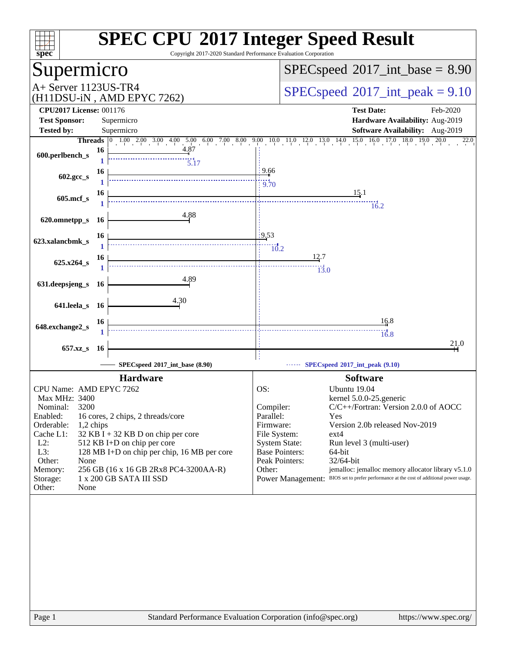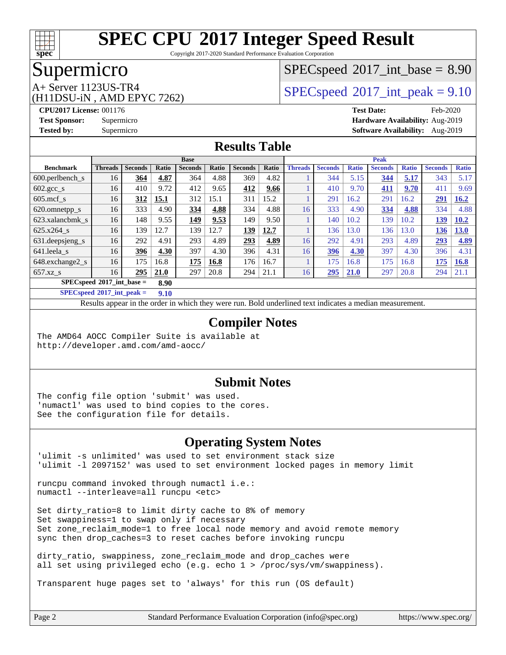

Copyright 2017-2020 Standard Performance Evaluation Corporation

### Supermicro

### $SPECspeed^{\circ}2017\_int\_base = 8.90$  $SPECspeed^{\circ}2017\_int\_base = 8.90$

(H11DSU-iN , AMD EPYC 7262)

A+ Server 1123US-TR4  $SPEC speed@2017$ \_int\_peak = 9.10

**[CPU2017 License:](http://www.spec.org/auto/cpu2017/Docs/result-fields.html#CPU2017License)** 001176 **[Test Date:](http://www.spec.org/auto/cpu2017/Docs/result-fields.html#TestDate)** Feb-2020 **[Test Sponsor:](http://www.spec.org/auto/cpu2017/Docs/result-fields.html#TestSponsor)** Supermicro **[Hardware Availability:](http://www.spec.org/auto/cpu2017/Docs/result-fields.html#HardwareAvailability)** Aug-2019 **[Tested by:](http://www.spec.org/auto/cpu2017/Docs/result-fields.html#Testedby)** Supermicro **[Software Availability:](http://www.spec.org/auto/cpu2017/Docs/result-fields.html#SoftwareAvailability)** Aug-2019

#### **[Results Table](http://www.spec.org/auto/cpu2017/Docs/result-fields.html#ResultsTable)**

|                                     | <b>Base</b>     |                |              |                |       | <b>Peak</b>    |       |                |                |              |                |              |                |              |
|-------------------------------------|-----------------|----------------|--------------|----------------|-------|----------------|-------|----------------|----------------|--------------|----------------|--------------|----------------|--------------|
| <b>Benchmark</b>                    | <b>Threads</b>  | <b>Seconds</b> | <b>Ratio</b> | <b>Seconds</b> | Ratio | <b>Seconds</b> | Ratio | <b>Threads</b> | <b>Seconds</b> | <b>Ratio</b> | <b>Seconds</b> | <b>Ratio</b> | <b>Seconds</b> | <b>Ratio</b> |
| $600.$ perlbench $\mathsf{S}$       | 16              | 364            | 4.87         | 364            | 4.88  | 369            | 4.82  |                | 344            | 5.15         | 344            | 5.17         | 343            | 5.17         |
| $602.\text{gcc s}$                  | 16              | 410            | 9.72         | 412            | 9.65  | 412            | 9.66  |                | 410            | 9.70         | 411            | 9.70         | 411            | 9.69         |
| $605$ mcf s                         | 16              | 312            | 15.1         | 312            | 15.1  | 311            | 15.2  |                | 291            | 16.2         | 291            | 16.2         | 291            | 16.2         |
| 620.omnetpp_s                       | 16              | 333            | 4.90         | 334            | 4.88  | 334            | 4.88  | 16             | 333            | 4.90         | 334            | 4.88         | 334            | 4.88         |
| 623.xalancbmk s                     | 16 <sup>°</sup> | 148            | 9.55         | 149            | 9.53  | 149            | 9.50  |                | 140            | 10.2         | 139            | 10.2         | 139            | 10.2         |
| 625.x264 s                          | 16              | 139            | 12.7         | 139            | 12.7  | 139            | 12.7  |                | 136            | 13.0         | 136            | 3.0          | 136            | 13.0         |
| 631.deepsjeng_s                     | 16              | 292            | 4.91         | 293            | 4.89  | 293            | 4.89  | 16             | 292            | 4.91         | 293            | 4.89         | 293            | 4.89         |
| 641.leela s                         | 16 <sup>°</sup> | 396            | 4.30         | 397            | 4.30  | 396            | 4.31  | 16             | 396            | 4.30         | 397            | 4.30         | 396            | 4.31         |
| 648.exchange2 s                     | 16              | 175            | 16.8         | 175            | 16.8  | 176            | 16.7  |                | 175            | 16.8         | 175            | 16.8         | 175            | 16.8         |
| $657.xz$ s                          | 16              | 295            | 21.0         | 297            | 20.8  | 294            | 21.1  | 16             | 295            | 21.0         | 297            | 20.8         | 294            | 21.1         |
| $SPECspeed*2017$ int base =<br>8.90 |                 |                |              |                |       |                |       |                |                |              |                |              |                |              |

**[SPECspeed](http://www.spec.org/auto/cpu2017/Docs/result-fields.html#SPECspeed2017intpeak)[2017\\_int\\_peak =](http://www.spec.org/auto/cpu2017/Docs/result-fields.html#SPECspeed2017intpeak) 9.10**

Results appear in the [order in which they were run.](http://www.spec.org/auto/cpu2017/Docs/result-fields.html#RunOrder) Bold underlined text [indicates a median measurement](http://www.spec.org/auto/cpu2017/Docs/result-fields.html#Median).

#### **[Compiler Notes](http://www.spec.org/auto/cpu2017/Docs/result-fields.html#CompilerNotes)**

The AMD64 AOCC Compiler Suite is available at <http://developer.amd.com/amd-aocc/>

#### **[Submit Notes](http://www.spec.org/auto/cpu2017/Docs/result-fields.html#SubmitNotes)**

The config file option 'submit' was used. 'numactl' was used to bind copies to the cores. See the configuration file for details.

#### **[Operating System Notes](http://www.spec.org/auto/cpu2017/Docs/result-fields.html#OperatingSystemNotes)**

'ulimit -s unlimited' was used to set environment stack size 'ulimit -l 2097152' was used to set environment locked pages in memory limit

runcpu command invoked through numactl i.e.: numactl --interleave=all runcpu <etc>

Set dirty\_ratio=8 to limit dirty cache to 8% of memory Set swappiness=1 to swap only if necessary Set zone\_reclaim\_mode=1 to free local node memory and avoid remote memory sync then drop\_caches=3 to reset caches before invoking runcpu

dirty ratio, swappiness, zone reclaim mode and drop caches were all set using privileged echo (e.g. echo 1 > /proc/sys/vm/swappiness).

Transparent huge pages set to 'always' for this run (OS default)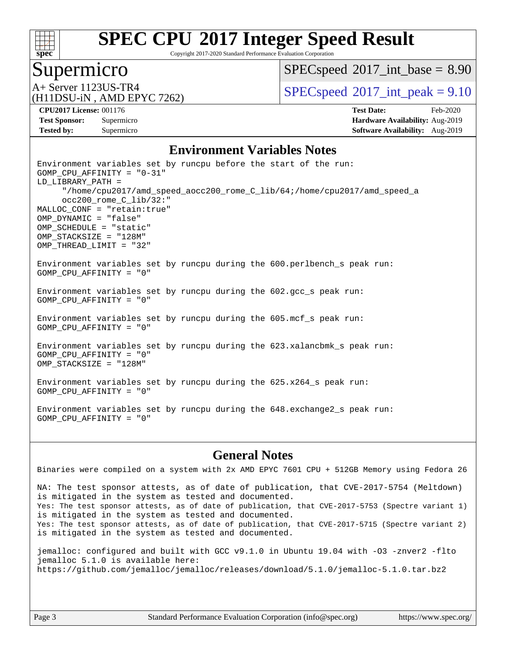

Copyright 2017-2020 Standard Performance Evaluation Corporation

### Supermicro

 $SPECspeed^{\circ}2017\_int\_base = 8.90$  $SPECspeed^{\circ}2017\_int\_base = 8.90$ 

(H11DSU-iN , AMD EPYC 7262)

A+ Server 1123US-TR4  $\vert$  [SPECspeed](http://www.spec.org/auto/cpu2017/Docs/result-fields.html#SPECspeed2017intpeak)®[2017\\_int\\_peak = 9](http://www.spec.org/auto/cpu2017/Docs/result-fields.html#SPECspeed2017intpeak).10

**[Tested by:](http://www.spec.org/auto/cpu2017/Docs/result-fields.html#Testedby)** Supermicro **Supermicro [Software Availability:](http://www.spec.org/auto/cpu2017/Docs/result-fields.html#SoftwareAvailability)** Aug-2019

**[CPU2017 License:](http://www.spec.org/auto/cpu2017/Docs/result-fields.html#CPU2017License)** 001176 **[Test Date:](http://www.spec.org/auto/cpu2017/Docs/result-fields.html#TestDate)** Feb-2020 **[Test Sponsor:](http://www.spec.org/auto/cpu2017/Docs/result-fields.html#TestSponsor)** Supermicro **[Hardware Availability:](http://www.spec.org/auto/cpu2017/Docs/result-fields.html#HardwareAvailability)** Aug-2019

#### **[Environment Variables Notes](http://www.spec.org/auto/cpu2017/Docs/result-fields.html#EnvironmentVariablesNotes)**

Environment variables set by runcpu before the start of the run: GOMP\_CPU\_AFFINITY = "0-31" LD\_LIBRARY\_PATH = "/home/cpu2017/amd\_speed\_aocc200\_rome\_C\_lib/64;/home/cpu2017/amd\_speed\_a occ200\_rome\_C\_lib/32:" MALLOC\_CONF = "retain:true" OMP\_DYNAMIC = "false" OMP\_SCHEDULE = "static" OMP\_STACKSIZE = "128M" OMP\_THREAD\_LIMIT = "32" Environment variables set by runcpu during the 600.perlbench\_s peak run: GOMP\_CPU\_AFFINITY = "0" Environment variables set by runcpu during the 602.gcc\_s peak run: GOMP\_CPU\_AFFINITY = "0" Environment variables set by runcpu during the 605.mcf\_s peak run: GOMP\_CPU\_AFFINITY = "0" Environment variables set by runcpu during the 623.xalancbmk\_s peak run: GOMP\_CPU\_AFFINITY = "0" OMP\_STACKSIZE = "128M" Environment variables set by runcpu during the 625.x264\_s peak run: GOMP\_CPU\_AFFINITY = "0" Environment variables set by runcpu during the 648.exchange2\_s peak run: GOMP\_CPU\_AFFINITY = "0"

#### **[General Notes](http://www.spec.org/auto/cpu2017/Docs/result-fields.html#GeneralNotes)**

Binaries were compiled on a system with 2x AMD EPYC 7601 CPU + 512GB Memory using Fedora 26 NA: The test sponsor attests, as of date of publication, that CVE-2017-5754 (Meltdown) is mitigated in the system as tested and documented. Yes: The test sponsor attests, as of date of publication, that CVE-2017-5753 (Spectre variant 1) is mitigated in the system as tested and documented. Yes: The test sponsor attests, as of date of publication, that CVE-2017-5715 (Spectre variant 2) is mitigated in the system as tested and documented.

jemalloc: configured and built with GCC v9.1.0 in Ubuntu 19.04 with -O3 -znver2 -flto jemalloc 5.1.0 is available here: <https://github.com/jemalloc/jemalloc/releases/download/5.1.0/jemalloc-5.1.0.tar.bz2>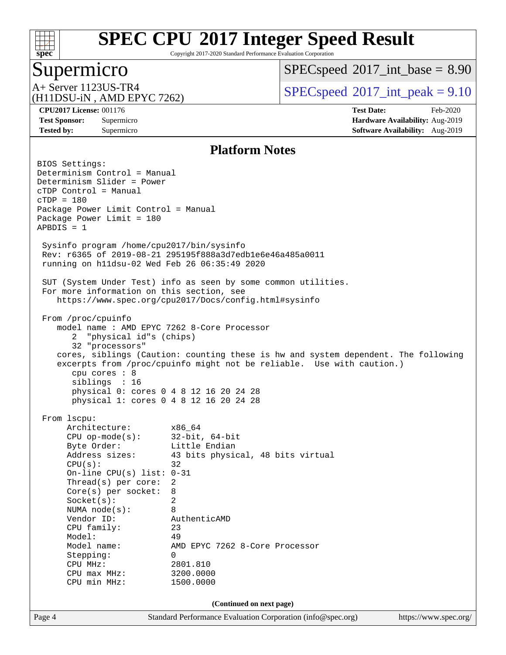

Copyright 2017-2020 Standard Performance Evaluation Corporation

## Supermicro

 $SPECspeed^{\circ}2017\_int\_base = 8.90$  $SPECspeed^{\circ}2017\_int\_base = 8.90$ 

(H11DSU-iN , AMD EPYC 7262)

A+ Server 1123US-TR4  $SPEC speed^{\circ}2017$ \_int\_peak = 9.10

**[CPU2017 License:](http://www.spec.org/auto/cpu2017/Docs/result-fields.html#CPU2017License)** 001176 **[Test Date:](http://www.spec.org/auto/cpu2017/Docs/result-fields.html#TestDate)** Feb-2020 **[Test Sponsor:](http://www.spec.org/auto/cpu2017/Docs/result-fields.html#TestSponsor)** Supermicro **[Hardware Availability:](http://www.spec.org/auto/cpu2017/Docs/result-fields.html#HardwareAvailability)** Aug-2019 **[Tested by:](http://www.spec.org/auto/cpu2017/Docs/result-fields.html#Testedby)** Supermicro **Supermicro [Software Availability:](http://www.spec.org/auto/cpu2017/Docs/result-fields.html#SoftwareAvailability)** Aug-2019

#### **[Platform Notes](http://www.spec.org/auto/cpu2017/Docs/result-fields.html#PlatformNotes)**

Page 4 Standard Performance Evaluation Corporation [\(info@spec.org\)](mailto:info@spec.org) <https://www.spec.org/> BIOS Settings: Determinism Control = Manual Determinism Slider = Power cTDP Control = Manual cTDP = 180 Package Power Limit Control = Manual Package Power Limit = 180 APBDIS = 1 Sysinfo program /home/cpu2017/bin/sysinfo Rev: r6365 of 2019-08-21 295195f888a3d7edb1e6e46a485a0011 running on h11dsu-02 Wed Feb 26 06:35:49 2020 SUT (System Under Test) info as seen by some common utilities. For more information on this section, see <https://www.spec.org/cpu2017/Docs/config.html#sysinfo> From /proc/cpuinfo model name : AMD EPYC 7262 8-Core Processor 2 "physical id"s (chips) 32 "processors" cores, siblings (Caution: counting these is hw and system dependent. The following excerpts from /proc/cpuinfo might not be reliable. Use with caution.) cpu cores : 8 siblings : 16 physical 0: cores 0 4 8 12 16 20 24 28 physical 1: cores 0 4 8 12 16 20 24 28 From lscpu: Architecture: x86\_64 CPU op-mode(s): 32-bit, 64-bit Byte Order: Little Endian Address sizes: 43 bits physical, 48 bits virtual  $CPU(s):$  32 On-line CPU(s) list: 0-31 Thread(s) per core: 2 Core(s) per socket: 8 Socket(s): 2 NUMA node(s): 8 Vendor ID: AuthenticAMD CPU family: 23 Model: 49 Model name: AMD EPYC 7262 8-Core Processor Stepping: 0 CPU MHz: 2801.810 CPU max MHz: 3200.0000 CPU min MHz: 1500.0000 **(Continued on next page)**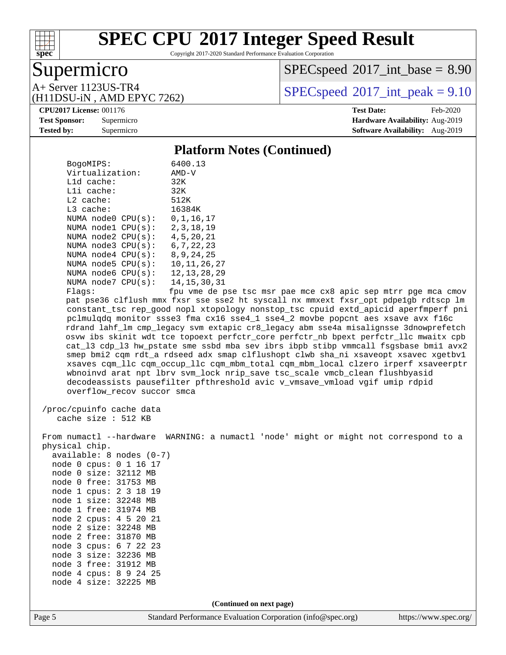

Copyright 2017-2020 Standard Performance Evaluation Corporation

## Supermicro

 $SPECspeed^{\circ}2017\_int\_base = 8.90$  $SPECspeed^{\circ}2017\_int\_base = 8.90$ 

(H11DSU-iN , AMD EPYC 7262)

A+ Server 1123US-TR4  $SPEC speed@2017$ \_int\_peak = 9.10

#### **[CPU2017 License:](http://www.spec.org/auto/cpu2017/Docs/result-fields.html#CPU2017License)** 001176 **[Test Date:](http://www.spec.org/auto/cpu2017/Docs/result-fields.html#TestDate)** Feb-2020

**[Test Sponsor:](http://www.spec.org/auto/cpu2017/Docs/result-fields.html#TestSponsor)** Supermicro **[Hardware Availability:](http://www.spec.org/auto/cpu2017/Docs/result-fields.html#HardwareAvailability)** Aug-2019 **[Tested by:](http://www.spec.org/auto/cpu2017/Docs/result-fields.html#Testedby)** Supermicro **[Software Availability:](http://www.spec.org/auto/cpu2017/Docs/result-fields.html#SoftwareAvailability)** Aug-2019

#### **[Platform Notes \(Continued\)](http://www.spec.org/auto/cpu2017/Docs/result-fields.html#PlatformNotes)**

| BogoMIPS:                         | 6400.13                                                                              |
|-----------------------------------|--------------------------------------------------------------------------------------|
| Virtualization:                   | AMD-V                                                                                |
| $L1d$ cache:                      | 32K                                                                                  |
| Lli cache:                        | 32K                                                                                  |
| $L2$ cache:                       | 512K                                                                                 |
| $L3$ cache:                       | 16384K                                                                               |
| NUMA $node0$ $CPU(s):$            | 0,1,16,17                                                                            |
| NUMA nodel $CPU(s):$ 2, 3, 18, 19 |                                                                                      |
| NUMA node2 $CPU(s):$ 4,5,20,21    |                                                                                      |
| NUMA node3 $CPU(s): 6, 7, 22, 23$ |                                                                                      |
| NUMA node4 $CPU(s): 8, 9, 24, 25$ |                                                                                      |
| NUMA node5 CPU(s): 10,11,26,27    |                                                                                      |
| NUMA node6 CPU(s): 12, 13, 28, 29 |                                                                                      |
| NUMA node7 CPU(s): 14, 15, 30, 31 |                                                                                      |
| Flaqs:                            | fpu vme de pse tsc msr pae mce cx8 apic sep mtrr pge mca cmov                        |
|                                   | pat pse36 clflush mmx fxsr sse sse2 ht syscall nx mmxext fxsr_opt pdpe1gb rdtscp lm  |
|                                   | constant tsc rep good nopl xtopology nonstop tsc cpuid extd apicid aperfmperf pni    |
|                                   | pclmulgdg monitor ssse3 fma cx16 sse4 1 sse4 2 movbe popcnt aes xsave avx f16c       |
|                                   | rdrand lahf lm cmp legacy sym extapic cr8 legacy abm sse4a misalignsse 3dnowprefetch |
|                                   | osvw ibs skinit wdt tce topoext perfctr core perfctr nb bpext perfctr llc mwaitx cpb |
|                                   | cat 13 cdp 13 hw pstate sme ssbd mba sev ibrs ibpb stibp vmmcall fsgsbase bmil avx2  |

cpuid extd\_apicid aperfmperf pni ovbe popcnt aes xsave avx f16c bm sse4a misalignsse 3dnowprefetch tr\_nb bpext perfctr\_llc mwaitx cpb b stibp vmmcall fsgsbase bmi1 avx2 smep bmi2 cqm rdt\_a rdseed adx smap clflushopt clwb sha\_ni xsaveopt xsavec xgetbv1 xsaves cqm\_llc cqm\_occup\_llc cqm\_mbm\_total cqm\_mbm\_local clzero irperf xsaveerptr wbnoinvd arat npt lbrv svm\_lock nrip\_save tsc\_scale vmcb\_clean flushbyasid decodeassists pausefilter pfthreshold avic v\_vmsave\_vmload vgif umip rdpid overflow\_recov succor smca

 /proc/cpuinfo cache data cache size : 512 KB

 From numactl --hardware WARNING: a numactl 'node' might or might not correspond to a physical chip.

 available: 8 nodes (0-7) node 0 cpus: 0 1 16 17 node 0 size: 32112 MB node 0 free: 31753 MB node 1 cpus: 2 3 18 19 node 1 size: 32248 MB node 1 free: 31974 MB node 2 cpus: 4 5 20 21 node 2 size: 32248 MB node 2 free: 31870 MB node 3 cpus: 6 7 22 23 node 3 size: 32236 MB node 3 free: 31912 MB node 4 cpus: 8 9 24 25 node 4 size: 32225 MB

**(Continued on next page)**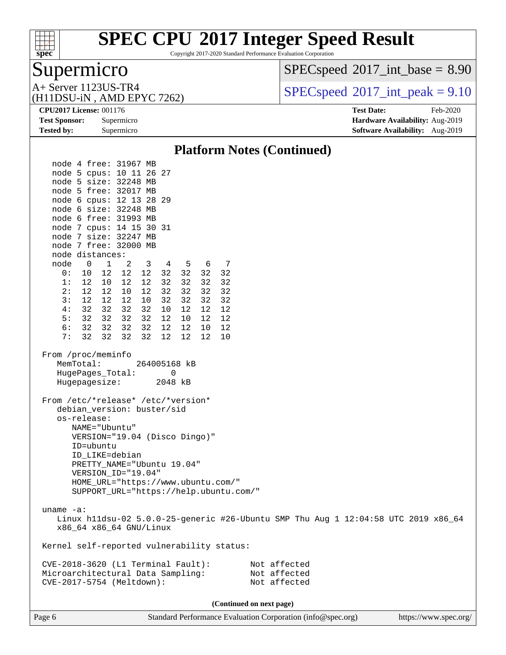

Copyright 2017-2020 Standard Performance Evaluation Corporation

## Supermicro

 $SPECspeed^{\circ}2017\_int\_base = 8.90$  $SPECspeed^{\circ}2017\_int\_base = 8.90$ 

(H11DSU-iN , AMD EPYC 7262)

A+ Server 1123US-TR4  $SPEC speed@2017$ \_int\_peak = 9.10

**[Tested by:](http://www.spec.org/auto/cpu2017/Docs/result-fields.html#Testedby)** Supermicro **[Software Availability:](http://www.spec.org/auto/cpu2017/Docs/result-fields.html#SoftwareAvailability)** Aug-2019

**[CPU2017 License:](http://www.spec.org/auto/cpu2017/Docs/result-fields.html#CPU2017License)** 001176 **[Test Date:](http://www.spec.org/auto/cpu2017/Docs/result-fields.html#TestDate)** Feb-2020 **[Test Sponsor:](http://www.spec.org/auto/cpu2017/Docs/result-fields.html#TestSponsor)** Supermicro **[Hardware Availability:](http://www.spec.org/auto/cpu2017/Docs/result-fields.html#HardwareAvailability)** Aug-2019

#### **[Platform Notes \(Continued\)](http://www.spec.org/auto/cpu2017/Docs/result-fields.html#PlatformNotes)** node 4 free: 31967 MB node 5 cpus: 10 11 26 27 node 5 size: 32248 MB node 5 free: 32017 MB node 6 cpus: 12 13 28 29 node 6 size: 32248 MB node 6 free: 31993 MB node 7 cpus: 14 15 30 31 node 7 size: 32247 MB node 7 free: 32000 MB node distances: node 0 1 2 3 4 5 6 7 0: 10 12 12 12 32 32 32 32 1: 12 10 12 12 32 32 32 32 2: 12 12 10 12 32 32 32 32 3: 12 12 12 10 32 32 32 32 4: 32 32 32 32 10 12 12 12 5: 32 32 32 32 12 10 12 12 6: 32 32 32 32 12 12 10 12 7: 32 32 32 32 12 12 12 10 From /proc/meminfo MemTotal: 264005168 kB HugePages Total: 0 Hugepagesize: 2048 kB From /etc/\*release\* /etc/\*version\* debian\_version: buster/sid os-release: NAME="Ubuntu" VERSION="19.04 (Disco Dingo)" ID=ubuntu ID\_LIKE=debian PRETTY\_NAME="Ubuntu 19.04" VERSION\_ID="19.04" HOME\_URL="<https://www.ubuntu.com/"> SUPPORT\_URL="<https://help.ubuntu.com/"> uname -a: Linux h11dsu-02 5.0.0-25-generic #26-Ubuntu SMP Thu Aug 1 12:04:58 UTC 2019 x86\_64 x86\_64 x86\_64 GNU/Linux Kernel self-reported vulnerability status: CVE-2018-3620 (L1 Terminal Fault): Not affected Microarchitectural Data Sampling: Not affected CVE-2017-5754 (Meltdown): Not affected **(Continued on next page)**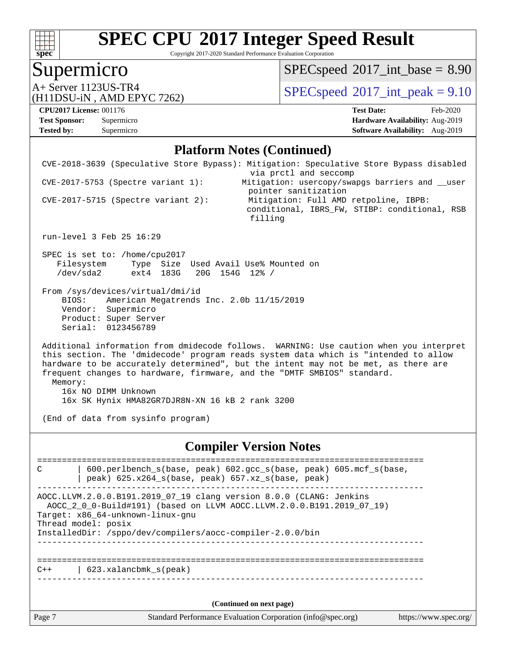

Copyright 2017-2020 Standard Performance Evaluation Corporation

## Supermicro

 $SPEC speed$ <sup>®</sup> $2017$ \_int\_base = 8.90

A+ Server 1123US-TR4<br>
(H11DSU-iN AMD EPYC 7262) [SPECspeed](http://www.spec.org/auto/cpu2017/Docs/result-fields.html#SPECspeed2017intpeak)®[2017\\_int\\_peak = 9](http://www.spec.org/auto/cpu2017/Docs/result-fields.html#SPECspeed2017intpeak).10

## (H11DSU-iN , AMD EPYC 7262)

**[Tested by:](http://www.spec.org/auto/cpu2017/Docs/result-fields.html#Testedby)** Supermicro **Supermicro [Software Availability:](http://www.spec.org/auto/cpu2017/Docs/result-fields.html#SoftwareAvailability)** Aug-2019

**[CPU2017 License:](http://www.spec.org/auto/cpu2017/Docs/result-fields.html#CPU2017License)** 001176 **[Test Date:](http://www.spec.org/auto/cpu2017/Docs/result-fields.html#TestDate)** Feb-2020 **[Test Sponsor:](http://www.spec.org/auto/cpu2017/Docs/result-fields.html#TestSponsor)** Supermicro **[Hardware Availability:](http://www.spec.org/auto/cpu2017/Docs/result-fields.html#HardwareAvailability)** Aug-2019

#### **[Platform Notes \(Continued\)](http://www.spec.org/auto/cpu2017/Docs/result-fields.html#PlatformNotes)**

| Page 7    |                                                                                                                                                   | Standard Performance Evaluation Corporation (info@spec.org)<br>https://www.spec.org/                                                                                                                                                                                                                                                           |
|-----------|---------------------------------------------------------------------------------------------------------------------------------------------------|------------------------------------------------------------------------------------------------------------------------------------------------------------------------------------------------------------------------------------------------------------------------------------------------------------------------------------------------|
|           |                                                                                                                                                   | (Continued on next page)                                                                                                                                                                                                                                                                                                                       |
|           | 623.xalancbmk_s(peak)                                                                                                                             |                                                                                                                                                                                                                                                                                                                                                |
|           | Target: x86_64-unknown-linux-gnu<br>Thread model: posix<br>InstalledDir: /sppo/dev/compilers/aocc-compiler-2.0.0/bin                              | AOCC.LLVM.2.0.0.B191.2019_07_19 clang version 8.0.0 (CLANG: Jenkins<br>AOCC_2_0_0-Build#191) (based on LLVM AOCC.LLVM.2.0.0.B191.2019_07_19)                                                                                                                                                                                                   |
| C         | peak) 625.x264_s(base, peak) 657.xz_s(base, peak)                                                                                                 | 600.perlbench_s(base, peak) 602.gcc_s(base, peak) 605.mcf_s(base,                                                                                                                                                                                                                                                                              |
|           |                                                                                                                                                   | <b>Compiler Version Notes</b>                                                                                                                                                                                                                                                                                                                  |
| Memory:   | 16x NO DIMM Unknown<br>16x SK Hynix HMA82GR7DJR8N-XN 16 kB 2 rank 3200<br>(End of data from sysinfo program)                                      | Additional information from dmidecode follows. WARNING: Use caution when you interpret<br>this section. The 'dmidecode' program reads system data which is "intended to allow<br>hardware to be accurately determined", but the intent may not be met, as there are<br>frequent changes to hardware, firmware, and the "DMTF SMBIOS" standard. |
| BIOS:     | From /sys/devices/virtual/dmi/id<br>American Megatrends Inc. 2.0b 11/15/2019<br>Vendor: Supermicro<br>Product: Super Server<br>Serial: 0123456789 |                                                                                                                                                                                                                                                                                                                                                |
| /dev/sda2 | SPEC is set to: /home/cpu2017<br>Filesystem<br>ext4 183G 20G 154G 12% /                                                                           | Type Size Used Avail Use% Mounted on                                                                                                                                                                                                                                                                                                           |
|           | run-level 3 Feb 25 16:29                                                                                                                          |                                                                                                                                                                                                                                                                                                                                                |
|           | $CVE-2017-5715$ (Spectre variant 2):                                                                                                              | pointer sanitization<br>Mitigation: Full AMD retpoline, IBPB:<br>conditional, IBRS_FW, STIBP: conditional, RSB<br>filling                                                                                                                                                                                                                      |
|           | CVE-2018-3639 (Speculative Store Bypass): Mitigation: Speculative Store Bypass disabled<br>$CVE-2017-5753$ (Spectre variant 1):                   | via prctl and seccomp<br>Mitigation: usercopy/swapgs barriers and __user                                                                                                                                                                                                                                                                       |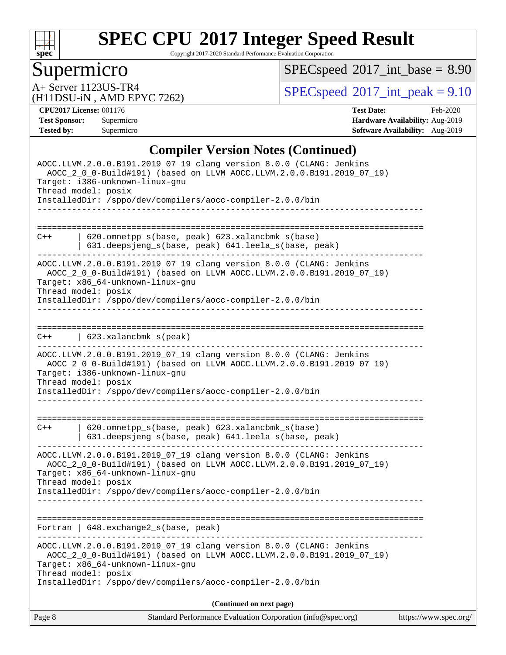

Copyright 2017-2020 Standard Performance Evaluation Corporation

# **Supermicro**

 $SPEC speed$ <sup>®</sup> $2017$ \_int\_base = 8.90

(H11DSU-iN , AMD EPYC 7262)

A+ Server 1123US-TR4<br>
(H11DSU-iN AMD EPYC 7262) [SPECspeed](http://www.spec.org/auto/cpu2017/Docs/result-fields.html#SPECspeed2017intpeak)®[2017\\_int\\_peak = 9](http://www.spec.org/auto/cpu2017/Docs/result-fields.html#SPECspeed2017intpeak).10

**[CPU2017 License:](http://www.spec.org/auto/cpu2017/Docs/result-fields.html#CPU2017License)** 001176 **[Test Date:](http://www.spec.org/auto/cpu2017/Docs/result-fields.html#TestDate)** Feb-2020 **[Test Sponsor:](http://www.spec.org/auto/cpu2017/Docs/result-fields.html#TestSponsor)** Supermicro **[Hardware Availability:](http://www.spec.org/auto/cpu2017/Docs/result-fields.html#HardwareAvailability)** Aug-2019 **[Tested by:](http://www.spec.org/auto/cpu2017/Docs/result-fields.html#Testedby)** Supermicro **Supermicro [Software Availability:](http://www.spec.org/auto/cpu2017/Docs/result-fields.html#SoftwareAvailability)** Aug-2019

### **[Compiler Version Notes \(Continued\)](http://www.spec.org/auto/cpu2017/Docs/result-fields.html#CompilerVersionNotes)**

| Standard Performance Evaluation Corporation (info@spec.org)<br>Page 8                                                                                                                                                                                              | https://www.spec.org/ |
|--------------------------------------------------------------------------------------------------------------------------------------------------------------------------------------------------------------------------------------------------------------------|-----------------------|
| (Continued on next page)                                                                                                                                                                                                                                           |                       |
| Target: x86_64-unknown-linux-gnu<br>Thread model: posix<br>InstalledDir: /sppo/dev/compilers/aocc-compiler-2.0.0/bin                                                                                                                                               |                       |
| AOCC.LLVM.2.0.0.B191.2019_07_19 clang version 8.0.0 (CLANG: Jenkins<br>AOCC_2_0_0-Build#191) (based on LLVM AOCC.LLVM.2.0.0.B191.2019_07_19)                                                                                                                       |                       |
| Fortran   648.exchange2_s(base, peak)                                                                                                                                                                                                                              |                       |
| InstalledDir: /sppo/dev/compilers/aocc-compiler-2.0.0/bin                                                                                                                                                                                                          |                       |
| AOCC.LLVM.2.0.0.B191.2019_07_19 clang version 8.0.0 (CLANG: Jenkins<br>AOCC_2_0_0-Build#191) (based on LLVM AOCC.LLVM.2.0.0.B191.2019_07_19)<br>Target: x86_64-unknown-linux-gnu<br>Thread model: posix                                                            |                       |
| 620.omnetpp_s(base, peak) 623.xalancbmk_s(base)<br>$C++$<br>631.deepsjeng_s(base, peak) 641.leela_s(base, peak)                                                                                                                                                    |                       |
| AOCC.LLVM.2.0.0.B191.2019_07_19 clang version 8.0.0 (CLANG: Jenkins<br>AOCC_2_0_0-Build#191) (based on LLVM AOCC.LLVM.2.0.0.B191.2019_07_19)<br>Target: i386-unknown-linux-gnu<br>Thread model: posix<br>InstalledDir: /sppo/dev/compilers/aocc-compiler-2.0.0/bin |                       |
| $\vert$ 623.xalancbmk_s(peak)<br>$C++$<br>---------                                                                                                                                                                                                                |                       |
| AOCC_2_0_0-Build#191) (based on LLVM AOCC.LLVM.2.0.0.B191.2019_07_19)<br>Target: x86_64-unknown-linux-gnu<br>Thread model: posix<br>InstalledDir: /sppo/dev/compilers/aocc-compiler-2.0.0/bin                                                                      |                       |
| AOCC.LLVM.2.0.0.B191.2019_07_19 clang version 8.0.0 (CLANG: Jenkins                                                                                                                                                                                                |                       |
| 620.omnetpp_s(base, peak) 623.xalancbmk_s(base)<br>$C++$<br>631.deepsjeng_s(base, peak) 641.leela_s(base, peak)                                                                                                                                                    |                       |
| InstalledDir: /sppo/dev/compilers/aocc-compiler-2.0.0/bin                                                                                                                                                                                                          |                       |
| AOCC.LLVM.2.0.0.B191.2019_07_19 clang version 8.0.0 (CLANG: Jenkins<br>AOCC_2_0_0-Build#191) (based on LLVM AOCC.LLVM.2.0.0.B191.2019_07_19)<br>Target: i386-unknown-linux-gnu<br>Thread model: posix                                                              |                       |
|                                                                                                                                                                                                                                                                    |                       |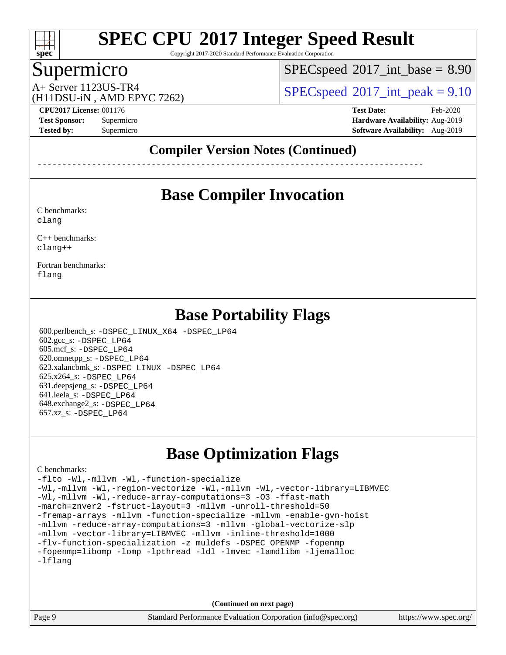

Copyright 2017-2020 Standard Performance Evaluation Corporation

## Supermicro

 $SPECspeed^{\circ}2017\_int\_base = 8.90$  $SPECspeed^{\circ}2017\_int\_base = 8.90$ 

(H11DSU-iN , AMD EPYC 7262)

A+ Server 1123US-TR4  $\vert$  [SPECspeed](http://www.spec.org/auto/cpu2017/Docs/result-fields.html#SPECspeed2017intpeak)®[2017\\_int\\_peak = 9](http://www.spec.org/auto/cpu2017/Docs/result-fields.html#SPECspeed2017intpeak).10

**[CPU2017 License:](http://www.spec.org/auto/cpu2017/Docs/result-fields.html#CPU2017License)** 001176 **[Test Date:](http://www.spec.org/auto/cpu2017/Docs/result-fields.html#TestDate)** Feb-2020 **[Test Sponsor:](http://www.spec.org/auto/cpu2017/Docs/result-fields.html#TestSponsor)** Supermicro **[Hardware Availability:](http://www.spec.org/auto/cpu2017/Docs/result-fields.html#HardwareAvailability)** Aug-2019 **[Tested by:](http://www.spec.org/auto/cpu2017/Docs/result-fields.html#Testedby)** Supermicro **[Software Availability:](http://www.spec.org/auto/cpu2017/Docs/result-fields.html#SoftwareAvailability)** Aug-2019

### **[Compiler Version Notes \(Continued\)](http://www.spec.org/auto/cpu2017/Docs/result-fields.html#CompilerVersionNotes)**

------------------------------------------------------------------------------

## **[Base Compiler Invocation](http://www.spec.org/auto/cpu2017/Docs/result-fields.html#BaseCompilerInvocation)**

[C benchmarks](http://www.spec.org/auto/cpu2017/Docs/result-fields.html#Cbenchmarks): [clang](http://www.spec.org/cpu2017/results/res2020q1/cpu2017-20200302-21097.flags.html#user_CCbase_clang-c)

[C++ benchmarks:](http://www.spec.org/auto/cpu2017/Docs/result-fields.html#CXXbenchmarks) [clang++](http://www.spec.org/cpu2017/results/res2020q1/cpu2017-20200302-21097.flags.html#user_CXXbase_clang-cpp)

[Fortran benchmarks](http://www.spec.org/auto/cpu2017/Docs/result-fields.html#Fortranbenchmarks): [flang](http://www.spec.org/cpu2017/results/res2020q1/cpu2017-20200302-21097.flags.html#user_FCbase_flang)

## **[Base Portability Flags](http://www.spec.org/auto/cpu2017/Docs/result-fields.html#BasePortabilityFlags)**

 600.perlbench\_s: [-DSPEC\\_LINUX\\_X64](http://www.spec.org/cpu2017/results/res2020q1/cpu2017-20200302-21097.flags.html#b600.perlbench_s_basePORTABILITY_DSPEC_LINUX_X64) [-DSPEC\\_LP64](http://www.spec.org/cpu2017/results/res2020q1/cpu2017-20200302-21097.flags.html#b600.perlbench_s_baseEXTRA_PORTABILITY_DSPEC_LP64) 602.gcc\_s: [-DSPEC\\_LP64](http://www.spec.org/cpu2017/results/res2020q1/cpu2017-20200302-21097.flags.html#suite_baseEXTRA_PORTABILITY602_gcc_s_DSPEC_LP64) 605.mcf\_s: [-DSPEC\\_LP64](http://www.spec.org/cpu2017/results/res2020q1/cpu2017-20200302-21097.flags.html#suite_baseEXTRA_PORTABILITY605_mcf_s_DSPEC_LP64) 620.omnetpp\_s: [-DSPEC\\_LP64](http://www.spec.org/cpu2017/results/res2020q1/cpu2017-20200302-21097.flags.html#suite_baseEXTRA_PORTABILITY620_omnetpp_s_DSPEC_LP64) 623.xalancbmk\_s: [-DSPEC\\_LINUX](http://www.spec.org/cpu2017/results/res2020q1/cpu2017-20200302-21097.flags.html#b623.xalancbmk_s_basePORTABILITY_DSPEC_LINUX) [-DSPEC\\_LP64](http://www.spec.org/cpu2017/results/res2020q1/cpu2017-20200302-21097.flags.html#suite_baseEXTRA_PORTABILITY623_xalancbmk_s_DSPEC_LP64) 625.x264\_s: [-DSPEC\\_LP64](http://www.spec.org/cpu2017/results/res2020q1/cpu2017-20200302-21097.flags.html#suite_baseEXTRA_PORTABILITY625_x264_s_DSPEC_LP64) 631.deepsjeng\_s: [-DSPEC\\_LP64](http://www.spec.org/cpu2017/results/res2020q1/cpu2017-20200302-21097.flags.html#suite_baseEXTRA_PORTABILITY631_deepsjeng_s_DSPEC_LP64) 641.leela\_s: [-DSPEC\\_LP64](http://www.spec.org/cpu2017/results/res2020q1/cpu2017-20200302-21097.flags.html#suite_baseEXTRA_PORTABILITY641_leela_s_DSPEC_LP64) 648.exchange2\_s: [-DSPEC\\_LP64](http://www.spec.org/cpu2017/results/res2020q1/cpu2017-20200302-21097.flags.html#suite_baseEXTRA_PORTABILITY648_exchange2_s_DSPEC_LP64) 657.xz\_s: [-DSPEC\\_LP64](http://www.spec.org/cpu2017/results/res2020q1/cpu2017-20200302-21097.flags.html#suite_baseEXTRA_PORTABILITY657_xz_s_DSPEC_LP64)

## **[Base Optimization Flags](http://www.spec.org/auto/cpu2017/Docs/result-fields.html#BaseOptimizationFlags)**

#### [C benchmarks](http://www.spec.org/auto/cpu2017/Docs/result-fields.html#Cbenchmarks):

[-flto](http://www.spec.org/cpu2017/results/res2020q1/cpu2017-20200302-21097.flags.html#user_CCbase_aocc-flto) [-Wl,-mllvm -Wl,-function-specialize](http://www.spec.org/cpu2017/results/res2020q1/cpu2017-20200302-21097.flags.html#user_CCbase_F-function-specialize_7e7e661e57922243ee67c9a1251cb8910e607325179a0ce7f2884e09a6f5d4a5ef0ae4f37e8a2a11c95fc48e931f06dc2b6016f14b511fcb441e048bef1b065a) [-Wl,-mllvm -Wl,-region-vectorize](http://www.spec.org/cpu2017/results/res2020q1/cpu2017-20200302-21097.flags.html#user_CCbase_F-region-vectorize_fb6c6b5aa293c88efc6c7c2b52b20755e943585b1fe8658c35afef78727fff56e1a56891413c30e36b8e2a6f9a71126986319243e80eb6110b78b288f533c52b) [-Wl,-mllvm -Wl,-vector-library=LIBMVEC](http://www.spec.org/cpu2017/results/res2020q1/cpu2017-20200302-21097.flags.html#user_CCbase_F-use-vector-library_0a14b27fae317f283640384a31f7bfcc2bd4c1d0b5cfc618a3a430800c9b20217b00f61303eff223a3251b4f06ffbc9739dc5296db9d1fbb9ad24a3939d86d66) [-Wl,-mllvm -Wl,-reduce-array-computations=3](http://www.spec.org/cpu2017/results/res2020q1/cpu2017-20200302-21097.flags.html#user_CCbase_F-reduce-array-computations_b882aefe7a5dda4e33149f6299762b9a720dace3e498e13756f4c04e5a19edf5315c1f3993de2e61ec41e8c206231f84e05da7040e1bb5d69ba27d10a12507e4) [-O3](http://www.spec.org/cpu2017/results/res2020q1/cpu2017-20200302-21097.flags.html#user_CCbase_F-O3) [-ffast-math](http://www.spec.org/cpu2017/results/res2020q1/cpu2017-20200302-21097.flags.html#user_CCbase_aocc-ffast-math) [-march=znver2](http://www.spec.org/cpu2017/results/res2020q1/cpu2017-20200302-21097.flags.html#user_CCbase_aocc-march_3e2e19cff2eeef60c5d90b059483627c9ea47eca6d66670dbd53f9185f6439e27eb5e104cf773e9e8ab18c8842ce63e461a3e948d0214bd567ef3ade411bf467) [-fstruct-layout=3](http://www.spec.org/cpu2017/results/res2020q1/cpu2017-20200302-21097.flags.html#user_CCbase_F-struct-layout) [-mllvm -unroll-threshold=50](http://www.spec.org/cpu2017/results/res2020q1/cpu2017-20200302-21097.flags.html#user_CCbase_F-unroll-threshold_458874500b2c105d6d5cb4d7a611c40e2b16e9e3d26b355fea72d644c3673b4de4b3932662f0ed3dbec75c491a13da2d2ca81180bd779dc531083ef1e1e549dc) [-fremap-arrays](http://www.spec.org/cpu2017/results/res2020q1/cpu2017-20200302-21097.flags.html#user_CCbase_F-fremap-arrays) [-mllvm -function-specialize](http://www.spec.org/cpu2017/results/res2020q1/cpu2017-20200302-21097.flags.html#user_CCbase_F-function-specialize_233b3bdba86027f1b094368157e481c5bc59f40286dc25bfadc1858dcd5745c24fd30d5f188710db7fea399bcc9f44a80b3ce3aacc70a8870250c3ae5e1f35b8) [-mllvm -enable-gvn-hoist](http://www.spec.org/cpu2017/results/res2020q1/cpu2017-20200302-21097.flags.html#user_CCbase_F-enable-gvn-hoist_e5856354646dd6ca1333a0ad99b817e4cf8932b91b82809fd8fd47ceff7b22a89eba5c98fd3e3fa5200368fd772cec3dd56abc3c8f7b655a71b9f9848dddedd5) [-mllvm -reduce-array-computations=3](http://www.spec.org/cpu2017/results/res2020q1/cpu2017-20200302-21097.flags.html#user_CCbase_F-reduce-array-computations_aceadb8604558b566e0e3a0d7a3c1533923dd1fa0889614e16288028922629a28d5695c24d3b3be4306b1e311c54317dfffe3a2e57fbcaabc737a1798de39145) [-mllvm -global-vectorize-slp](http://www.spec.org/cpu2017/results/res2020q1/cpu2017-20200302-21097.flags.html#user_CCbase_F-global-vectorize-slp_a3935e8627af4ced727033b1ffd4db27f4d541a363d28d82bf4c2925fb3a0fd4115d6e42d13a2829f9e024d6608eb67a85cb49770f2da5c5ac8dbc737afad603) [-mllvm -vector-library=LIBMVEC](http://www.spec.org/cpu2017/results/res2020q1/cpu2017-20200302-21097.flags.html#user_CCbase_F-use-vector-library_e584e20b4f7ec96aa109254b65d8e01d864f3d68580371b9d93ed7c338191d4cfce20c3c864632264effc6bbe4c7c38153d02096a342ee92501c4a53204a7871) [-mllvm -inline-threshold=1000](http://www.spec.org/cpu2017/results/res2020q1/cpu2017-20200302-21097.flags.html#user_CCbase_dragonegg-llvm-inline-threshold_b7832241b0a6397e4ecdbaf0eb7defdc10f885c2a282fa3240fdc99844d543fda39cf8a4a9dccf68cf19b5438ac3b455264f478df15da0f4988afa40d8243bab) [-flv-function-specialization](http://www.spec.org/cpu2017/results/res2020q1/cpu2017-20200302-21097.flags.html#user_CCbase_F-flv-function-specialization) [-z muldefs](http://www.spec.org/cpu2017/results/res2020q1/cpu2017-20200302-21097.flags.html#user_CCbase_aocc-muldefs) [-DSPEC\\_OPENMP](http://www.spec.org/cpu2017/results/res2020q1/cpu2017-20200302-21097.flags.html#suite_CCbase_DSPEC_OPENMP) [-fopenmp](http://www.spec.org/cpu2017/results/res2020q1/cpu2017-20200302-21097.flags.html#user_CCbase_aocc-fopenmp) [-fopenmp=libomp](http://www.spec.org/cpu2017/results/res2020q1/cpu2017-20200302-21097.flags.html#user_CCbase_aocc-fopenmp_3eb6ab80166bcc84161ff8c20c8d5bc344f88119f45620444596454f7d72e99b7a0ceefc2d1b4d190bd07306bbfdfc20f11f5a2dc69c9b03c72239f8406741c3) [-lomp](http://www.spec.org/cpu2017/results/res2020q1/cpu2017-20200302-21097.flags.html#user_CCbase_F-lomp) [-lpthread](http://www.spec.org/cpu2017/results/res2020q1/cpu2017-20200302-21097.flags.html#user_CCbase_F-lpthread) [-ldl](http://www.spec.org/cpu2017/results/res2020q1/cpu2017-20200302-21097.flags.html#user_CCbase_F-ldl) [-lmvec](http://www.spec.org/cpu2017/results/res2020q1/cpu2017-20200302-21097.flags.html#user_CCbase_F-lmvec) [-lamdlibm](http://www.spec.org/cpu2017/results/res2020q1/cpu2017-20200302-21097.flags.html#user_CCbase_F-lamdlibm) [-ljemalloc](http://www.spec.org/cpu2017/results/res2020q1/cpu2017-20200302-21097.flags.html#user_CCbase_jemalloc-lib) [-lflang](http://www.spec.org/cpu2017/results/res2020q1/cpu2017-20200302-21097.flags.html#user_CCbase_F-lflang)

**(Continued on next page)**

Page 9 Standard Performance Evaluation Corporation [\(info@spec.org\)](mailto:info@spec.org) <https://www.spec.org/>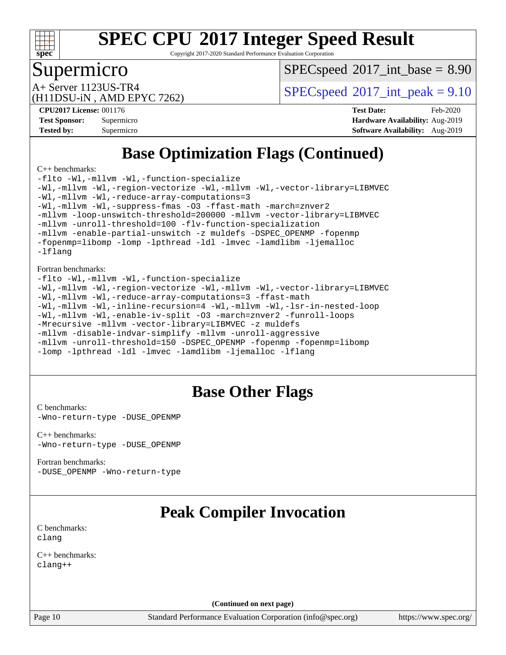

Copyright 2017-2020 Standard Performance Evaluation Corporation

### Supermicro

 $SPECspeed^{\circ}2017\_int\_base = 8.90$  $SPECspeed^{\circ}2017\_int\_base = 8.90$ 

(H11DSU-iN , AMD EPYC 7262)

A+ Server 1123US-TR4  $SPEC speed@2017$ \_int\_peak = 9.10

**[CPU2017 License:](http://www.spec.org/auto/cpu2017/Docs/result-fields.html#CPU2017License)** 001176 **[Test Date:](http://www.spec.org/auto/cpu2017/Docs/result-fields.html#TestDate)** Feb-2020 **[Test Sponsor:](http://www.spec.org/auto/cpu2017/Docs/result-fields.html#TestSponsor)** Supermicro **[Hardware Availability:](http://www.spec.org/auto/cpu2017/Docs/result-fields.html#HardwareAvailability)** Aug-2019 **[Tested by:](http://www.spec.org/auto/cpu2017/Docs/result-fields.html#Testedby)** Supermicro **[Software Availability:](http://www.spec.org/auto/cpu2017/Docs/result-fields.html#SoftwareAvailability)** Aug-2019

## **[Base Optimization Flags \(Continued\)](http://www.spec.org/auto/cpu2017/Docs/result-fields.html#BaseOptimizationFlags)**

[C++ benchmarks:](http://www.spec.org/auto/cpu2017/Docs/result-fields.html#CXXbenchmarks)

[-flto](http://www.spec.org/cpu2017/results/res2020q1/cpu2017-20200302-21097.flags.html#user_CXXbase_aocc-flto) [-Wl,-mllvm -Wl,-function-specialize](http://www.spec.org/cpu2017/results/res2020q1/cpu2017-20200302-21097.flags.html#user_CXXbase_F-function-specialize_7e7e661e57922243ee67c9a1251cb8910e607325179a0ce7f2884e09a6f5d4a5ef0ae4f37e8a2a11c95fc48e931f06dc2b6016f14b511fcb441e048bef1b065a) [-Wl,-mllvm -Wl,-region-vectorize](http://www.spec.org/cpu2017/results/res2020q1/cpu2017-20200302-21097.flags.html#user_CXXbase_F-region-vectorize_fb6c6b5aa293c88efc6c7c2b52b20755e943585b1fe8658c35afef78727fff56e1a56891413c30e36b8e2a6f9a71126986319243e80eb6110b78b288f533c52b) [-Wl,-mllvm -Wl,-vector-library=LIBMVEC](http://www.spec.org/cpu2017/results/res2020q1/cpu2017-20200302-21097.flags.html#user_CXXbase_F-use-vector-library_0a14b27fae317f283640384a31f7bfcc2bd4c1d0b5cfc618a3a430800c9b20217b00f61303eff223a3251b4f06ffbc9739dc5296db9d1fbb9ad24a3939d86d66) [-Wl,-mllvm -Wl,-reduce-array-computations=3](http://www.spec.org/cpu2017/results/res2020q1/cpu2017-20200302-21097.flags.html#user_CXXbase_F-reduce-array-computations_b882aefe7a5dda4e33149f6299762b9a720dace3e498e13756f4c04e5a19edf5315c1f3993de2e61ec41e8c206231f84e05da7040e1bb5d69ba27d10a12507e4) [-Wl,-mllvm -Wl,-suppress-fmas](http://www.spec.org/cpu2017/results/res2020q1/cpu2017-20200302-21097.flags.html#user_CXXbase_F-suppress-fmas_f00f00630e4a059e8af9c161e9bbf420bcf19890a7f99d5933525e66aa4b0bb3ab2339d2b12d97d3a5f5d271e839fe9c109938e91fe06230fb53651590cfa1e8) [-O3](http://www.spec.org/cpu2017/results/res2020q1/cpu2017-20200302-21097.flags.html#user_CXXbase_F-O3) [-ffast-math](http://www.spec.org/cpu2017/results/res2020q1/cpu2017-20200302-21097.flags.html#user_CXXbase_aocc-ffast-math) [-march=znver2](http://www.spec.org/cpu2017/results/res2020q1/cpu2017-20200302-21097.flags.html#user_CXXbase_aocc-march_3e2e19cff2eeef60c5d90b059483627c9ea47eca6d66670dbd53f9185f6439e27eb5e104cf773e9e8ab18c8842ce63e461a3e948d0214bd567ef3ade411bf467) [-mllvm -loop-unswitch-threshold=200000](http://www.spec.org/cpu2017/results/res2020q1/cpu2017-20200302-21097.flags.html#user_CXXbase_F-loop-unswitch-threshold_f9a82ae3270e55b5fbf79d0d96ee93606b73edbbe527d20b18b7bff1a3a146ad50cfc7454c5297978340ae9213029016a7d16221274d672d3f7f42ed25274e1d) [-mllvm -vector-library=LIBMVEC](http://www.spec.org/cpu2017/results/res2020q1/cpu2017-20200302-21097.flags.html#user_CXXbase_F-use-vector-library_e584e20b4f7ec96aa109254b65d8e01d864f3d68580371b9d93ed7c338191d4cfce20c3c864632264effc6bbe4c7c38153d02096a342ee92501c4a53204a7871) [-mllvm -unroll-threshold=100](http://www.spec.org/cpu2017/results/res2020q1/cpu2017-20200302-21097.flags.html#user_CXXbase_F-unroll-threshold_2755d0c78138845d361fa1543e3a063fffa198df9b3edf0cfb856bbc88a81e1769b12ac7a550c5d35197be55360db1a3f95a8d1304df999456cabf5120c45168) [-flv-function-specialization](http://www.spec.org/cpu2017/results/res2020q1/cpu2017-20200302-21097.flags.html#user_CXXbase_F-flv-function-specialization) [-mllvm -enable-partial-unswitch](http://www.spec.org/cpu2017/results/res2020q1/cpu2017-20200302-21097.flags.html#user_CXXbase_F-enable-partial-unswitch_6e1c33f981d77963b1eaf834973128a7f33ce3f8e27f54689656697a35e89dcc875281e0e6283d043e32f367dcb605ba0e307a92e830f7e326789fa6c61b35d3) [-z muldefs](http://www.spec.org/cpu2017/results/res2020q1/cpu2017-20200302-21097.flags.html#user_CXXbase_aocc-muldefs) [-DSPEC\\_OPENMP](http://www.spec.org/cpu2017/results/res2020q1/cpu2017-20200302-21097.flags.html#suite_CXXbase_DSPEC_OPENMP) [-fopenmp](http://www.spec.org/cpu2017/results/res2020q1/cpu2017-20200302-21097.flags.html#user_CXXbase_aocc-fopenmp) [-fopenmp=libomp](http://www.spec.org/cpu2017/results/res2020q1/cpu2017-20200302-21097.flags.html#user_CXXbase_aocc-fopenmp_3eb6ab80166bcc84161ff8c20c8d5bc344f88119f45620444596454f7d72e99b7a0ceefc2d1b4d190bd07306bbfdfc20f11f5a2dc69c9b03c72239f8406741c3) [-lomp](http://www.spec.org/cpu2017/results/res2020q1/cpu2017-20200302-21097.flags.html#user_CXXbase_F-lomp) [-lpthread](http://www.spec.org/cpu2017/results/res2020q1/cpu2017-20200302-21097.flags.html#user_CXXbase_F-lpthread) [-ldl](http://www.spec.org/cpu2017/results/res2020q1/cpu2017-20200302-21097.flags.html#user_CXXbase_F-ldl) [-lmvec](http://www.spec.org/cpu2017/results/res2020q1/cpu2017-20200302-21097.flags.html#user_CXXbase_F-lmvec) [-lamdlibm](http://www.spec.org/cpu2017/results/res2020q1/cpu2017-20200302-21097.flags.html#user_CXXbase_F-lamdlibm) [-ljemalloc](http://www.spec.org/cpu2017/results/res2020q1/cpu2017-20200302-21097.flags.html#user_CXXbase_jemalloc-lib) [-lflang](http://www.spec.org/cpu2017/results/res2020q1/cpu2017-20200302-21097.flags.html#user_CXXbase_F-lflang)

[Fortran benchmarks](http://www.spec.org/auto/cpu2017/Docs/result-fields.html#Fortranbenchmarks):

```
-flto -Wl,-mllvm -Wl,-function-specialize
-Wl,-mllvm -Wl,-region-vectorize -Wl,-mllvm -Wl,-vector-library=LIBMVEC
-Wl,-mllvm -Wl,-reduce-array-computations=3 -ffast-math
-Wl,-mllvm -Wl,-inline-recursion=4 -Wl,-mllvm -Wl,-lsr-in-nested-loop
-Wl,-mllvm -Wl,-enable-iv-split -O3 -march=znver2 -funroll-loops
-Mrecursive -mllvm -vector-library=LIBMVEC -z muldefs
-mllvm -disable-indvar-simplify -mllvm -unroll-aggressive
-mllvm -unroll-threshold=150 -DSPEC_OPENMP -fopenmp -fopenmp=libomp
-lomp -lpthread -ldl -lmvec -lamdlibm -ljemalloc -lflang
```
## **[Base Other Flags](http://www.spec.org/auto/cpu2017/Docs/result-fields.html#BaseOtherFlags)**

[C benchmarks](http://www.spec.org/auto/cpu2017/Docs/result-fields.html#Cbenchmarks): [-Wno-return-type](http://www.spec.org/cpu2017/results/res2020q1/cpu2017-20200302-21097.flags.html#user_CCbase_F-Waocc-no-return-type) [-DUSE\\_OPENMP](http://www.spec.org/cpu2017/results/res2020q1/cpu2017-20200302-21097.flags.html#user_CCbase_F-DUSE_OPENMP)

[C++ benchmarks:](http://www.spec.org/auto/cpu2017/Docs/result-fields.html#CXXbenchmarks) [-Wno-return-type](http://www.spec.org/cpu2017/results/res2020q1/cpu2017-20200302-21097.flags.html#user_CXXbase_F-Waocc-no-return-type) [-DUSE\\_OPENMP](http://www.spec.org/cpu2017/results/res2020q1/cpu2017-20200302-21097.flags.html#user_CXXbase_F-DUSE_OPENMP)

[Fortran benchmarks](http://www.spec.org/auto/cpu2017/Docs/result-fields.html#Fortranbenchmarks): [-DUSE\\_OPENMP](http://www.spec.org/cpu2017/results/res2020q1/cpu2017-20200302-21097.flags.html#user_FCbase_F-DUSE_OPENMP) [-Wno-return-type](http://www.spec.org/cpu2017/results/res2020q1/cpu2017-20200302-21097.flags.html#user_FCbase_F-Waocc-no-return-type)

## **[Peak Compiler Invocation](http://www.spec.org/auto/cpu2017/Docs/result-fields.html#PeakCompilerInvocation)**

[C benchmarks](http://www.spec.org/auto/cpu2017/Docs/result-fields.html#Cbenchmarks): [clang](http://www.spec.org/cpu2017/results/res2020q1/cpu2017-20200302-21097.flags.html#user_CCpeak_clang-c)

[C++ benchmarks:](http://www.spec.org/auto/cpu2017/Docs/result-fields.html#CXXbenchmarks) [clang++](http://www.spec.org/cpu2017/results/res2020q1/cpu2017-20200302-21097.flags.html#user_CXXpeak_clang-cpp)

**(Continued on next page)**

Page 10 Standard Performance Evaluation Corporation [\(info@spec.org\)](mailto:info@spec.org) <https://www.spec.org/>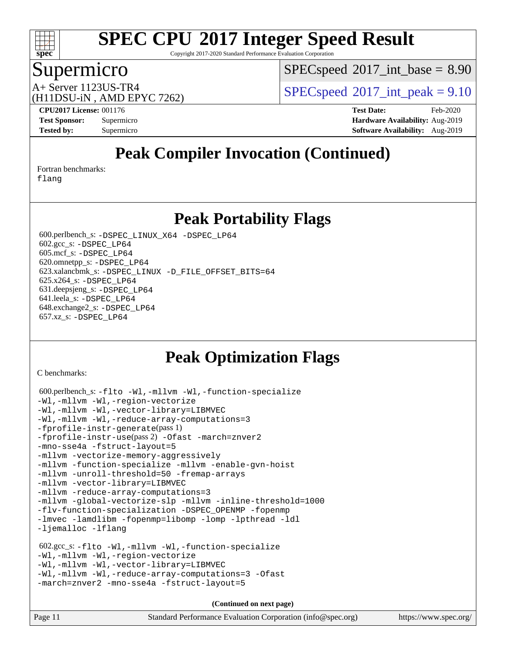

Copyright 2017-2020 Standard Performance Evaluation Corporation

### Supermicro

 $SPECspeed^{\circ}2017\_int\_base = 8.90$  $SPECspeed^{\circ}2017\_int\_base = 8.90$ 

(H11DSU-iN , AMD EPYC 7262)

A+ Server 1123US-TR4  $SPEC speed@2017$ \_int\_peak = 9.10

**[CPU2017 License:](http://www.spec.org/auto/cpu2017/Docs/result-fields.html#CPU2017License)** 001176 **[Test Date:](http://www.spec.org/auto/cpu2017/Docs/result-fields.html#TestDate)** Feb-2020 **[Test Sponsor:](http://www.spec.org/auto/cpu2017/Docs/result-fields.html#TestSponsor)** Supermicro **[Hardware Availability:](http://www.spec.org/auto/cpu2017/Docs/result-fields.html#HardwareAvailability)** Aug-2019 **[Tested by:](http://www.spec.org/auto/cpu2017/Docs/result-fields.html#Testedby)** Supermicro **Supermicro [Software Availability:](http://www.spec.org/auto/cpu2017/Docs/result-fields.html#SoftwareAvailability)** Aug-2019

## **[Peak Compiler Invocation \(Continued\)](http://www.spec.org/auto/cpu2017/Docs/result-fields.html#PeakCompilerInvocation)**

[Fortran benchmarks](http://www.spec.org/auto/cpu2017/Docs/result-fields.html#Fortranbenchmarks):

[flang](http://www.spec.org/cpu2017/results/res2020q1/cpu2017-20200302-21097.flags.html#user_FCpeak_flang)

**[Peak Portability Flags](http://www.spec.org/auto/cpu2017/Docs/result-fields.html#PeakPortabilityFlags)**

 600.perlbench\_s: [-DSPEC\\_LINUX\\_X64](http://www.spec.org/cpu2017/results/res2020q1/cpu2017-20200302-21097.flags.html#b600.perlbench_s_peakPORTABILITY_DSPEC_LINUX_X64) [-DSPEC\\_LP64](http://www.spec.org/cpu2017/results/res2020q1/cpu2017-20200302-21097.flags.html#b600.perlbench_s_peakEXTRA_PORTABILITY_DSPEC_LP64) 602.gcc\_s: [-DSPEC\\_LP64](http://www.spec.org/cpu2017/results/res2020q1/cpu2017-20200302-21097.flags.html#suite_peakEXTRA_PORTABILITY602_gcc_s_DSPEC_LP64) 605.mcf\_s: [-DSPEC\\_LP64](http://www.spec.org/cpu2017/results/res2020q1/cpu2017-20200302-21097.flags.html#suite_peakEXTRA_PORTABILITY605_mcf_s_DSPEC_LP64) 620.omnetpp\_s: [-DSPEC\\_LP64](http://www.spec.org/cpu2017/results/res2020q1/cpu2017-20200302-21097.flags.html#suite_peakEXTRA_PORTABILITY620_omnetpp_s_DSPEC_LP64) 623.xalancbmk\_s: [-DSPEC\\_LINUX](http://www.spec.org/cpu2017/results/res2020q1/cpu2017-20200302-21097.flags.html#b623.xalancbmk_s_peakPORTABILITY_DSPEC_LINUX) [-D\\_FILE\\_OFFSET\\_BITS=64](http://www.spec.org/cpu2017/results/res2020q1/cpu2017-20200302-21097.flags.html#user_peakEXTRA_PORTABILITY623_xalancbmk_s_F-D_FILE_OFFSET_BITS_5ae949a99b284ddf4e95728d47cb0843d81b2eb0e18bdfe74bbf0f61d0b064f4bda2f10ea5eb90e1dcab0e84dbc592acfc5018bc955c18609f94ddb8d550002c) 625.x264\_s: [-DSPEC\\_LP64](http://www.spec.org/cpu2017/results/res2020q1/cpu2017-20200302-21097.flags.html#suite_peakEXTRA_PORTABILITY625_x264_s_DSPEC_LP64) 631.deepsjeng\_s: [-DSPEC\\_LP64](http://www.spec.org/cpu2017/results/res2020q1/cpu2017-20200302-21097.flags.html#suite_peakEXTRA_PORTABILITY631_deepsjeng_s_DSPEC_LP64) 641.leela\_s: [-DSPEC\\_LP64](http://www.spec.org/cpu2017/results/res2020q1/cpu2017-20200302-21097.flags.html#suite_peakEXTRA_PORTABILITY641_leela_s_DSPEC_LP64) 648.exchange2\_s: [-DSPEC\\_LP64](http://www.spec.org/cpu2017/results/res2020q1/cpu2017-20200302-21097.flags.html#suite_peakEXTRA_PORTABILITY648_exchange2_s_DSPEC_LP64) 657.xz\_s: [-DSPEC\\_LP64](http://www.spec.org/cpu2017/results/res2020q1/cpu2017-20200302-21097.flags.html#suite_peakEXTRA_PORTABILITY657_xz_s_DSPEC_LP64)

## **[Peak Optimization Flags](http://www.spec.org/auto/cpu2017/Docs/result-fields.html#PeakOptimizationFlags)**

[C benchmarks](http://www.spec.org/auto/cpu2017/Docs/result-fields.html#Cbenchmarks):

```
 600.perlbench_s: -flto -Wl,-mllvm -Wl,-function-specialize
-Wl,-mllvm -Wl,-region-vectorize
-Wl,-mllvm -Wl,-vector-library=LIBMVEC
-Wl,-mllvm -Wl,-reduce-array-computations=3
-fprofile-instr-generate(pass 1)
-fprofile-instr-use(pass 2) -Ofast -march=znver2
-mno-sse4a -fstruct-layout=5
-mllvm -vectorize-memory-aggressively
-mllvm -function-specialize -mllvm -enable-gvn-hoist
-mllvm -unroll-threshold=50 -fremap-arrays
-mllvm -vector-library=LIBMVEC
-mllvm -reduce-array-computations=3
-mllvm -global-vectorize-slp -mllvm -inline-threshold=1000
-flv-function-specialization -DSPEC_OPENMP -fopenmp
-lmvec -lamdlibm -fopenmp=libomp -lomp -lpthread -ldl
-ljemalloc -lflang
 602.gcc_s: -flto -Wl,-mllvm -Wl,-function-specialize
-Wl,-mllvm -Wl,-region-vectorize
-Wl,-mllvm -Wl,-vector-library=LIBMVEC
-Wl,-mllvm -Wl,-reduce-array-computations=3 -Ofast
-march=znver2 -mno-sse4a -fstruct-layout=5
                                    (Continued on next page)
```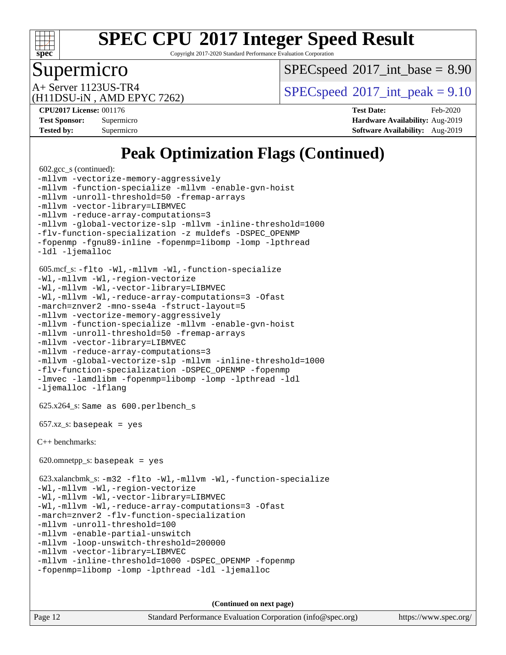

Copyright 2017-2020 Standard Performance Evaluation Corporation

### Supermicro

 $SPECspeed^{\circ}2017\_int\_base = 8.90$  $SPECspeed^{\circ}2017\_int\_base = 8.90$ 

(H11DSU-iN , AMD EPYC 7262)

A+ Server 1123US-TR4  $SPEC speed@2017$ \_int\_peak = 9.10

**[CPU2017 License:](http://www.spec.org/auto/cpu2017/Docs/result-fields.html#CPU2017License)** 001176 **[Test Date:](http://www.spec.org/auto/cpu2017/Docs/result-fields.html#TestDate)** Feb-2020 **[Test Sponsor:](http://www.spec.org/auto/cpu2017/Docs/result-fields.html#TestSponsor)** Supermicro **[Hardware Availability:](http://www.spec.org/auto/cpu2017/Docs/result-fields.html#HardwareAvailability)** Aug-2019 **[Tested by:](http://www.spec.org/auto/cpu2017/Docs/result-fields.html#Testedby)** Supermicro **[Software Availability:](http://www.spec.org/auto/cpu2017/Docs/result-fields.html#SoftwareAvailability)** Aug-2019

## **[Peak Optimization Flags \(Continued\)](http://www.spec.org/auto/cpu2017/Docs/result-fields.html#PeakOptimizationFlags)**

```
 602.gcc_s (continued):
-mllvm -vectorize-memory-aggressively
-mllvm -function-specialize -mllvm -enable-gvn-hoist
-mllvm -unroll-threshold=50 -fremap-arrays
-mllvm -vector-library=LIBMVEC
-mllvm -reduce-array-computations=3
-mllvm -global-vectorize-slp -mllvm -inline-threshold=1000
-flv-function-specialization -z muldefs -DSPEC_OPENMP
-fopenmp -fgnu89-inline -fopenmp=libomp -lomp -lpthread
-ldl -ljemalloc
 605.mcf_s: -flto -Wl,-mllvm -Wl,-function-specialize
-Wl,-mllvm -Wl,-region-vectorize
-Wl,-mllvm -Wl,-vector-library=LIBMVEC
-Wl,-mllvm -Wl,-reduce-array-computations=3 -Ofast
-march=znver2 -mno-sse4a -fstruct-layout=5
-mllvm -vectorize-memory-aggressively
-mllvm -function-specialize -mllvm -enable-gvn-hoist
-mllvm -unroll-threshold=50 -fremap-arrays
-mllvm -vector-library=LIBMVEC
-mllvm -reduce-array-computations=3
-mllvm -global-vectorize-slp -mllvm -inline-threshold=1000
-flv-function-specialization -DSPEC_OPENMP -fopenmp
-lmvec -lamdlibm -fopenmp=libomp -lomp -lpthread -ldl
-ljemalloc -lflang
 625.x264_s: Same as 600.perlbench_s
657.xz s: basepeak = yes
C++ benchmarks: 
620.omnetpp_s: basepeak = yes
 623.xalancbmk_s: -m32 -flto -Wl,-mllvm -Wl,-function-specialize
-Wl,-mllvm -Wl,-region-vectorize
-Wl,-mllvm -Wl,-vector-library=LIBMVEC
-Wl,-mllvm -Wl,-reduce-array-computations=3 -Ofast
-march=znver2 -flv-function-specialization
-mllvm -unroll-threshold=100
-mllvm -enable-partial-unswitch
-mllvm -loop-unswitch-threshold=200000
-mllvm -vector-library=LIBMVEC
-mllvm -inline-threshold=1000 -DSPEC_OPENMP -fopenmp
-fopenmp=libomp -lomp -lpthread -ldl -ljemalloc
```
**(Continued on next page)**